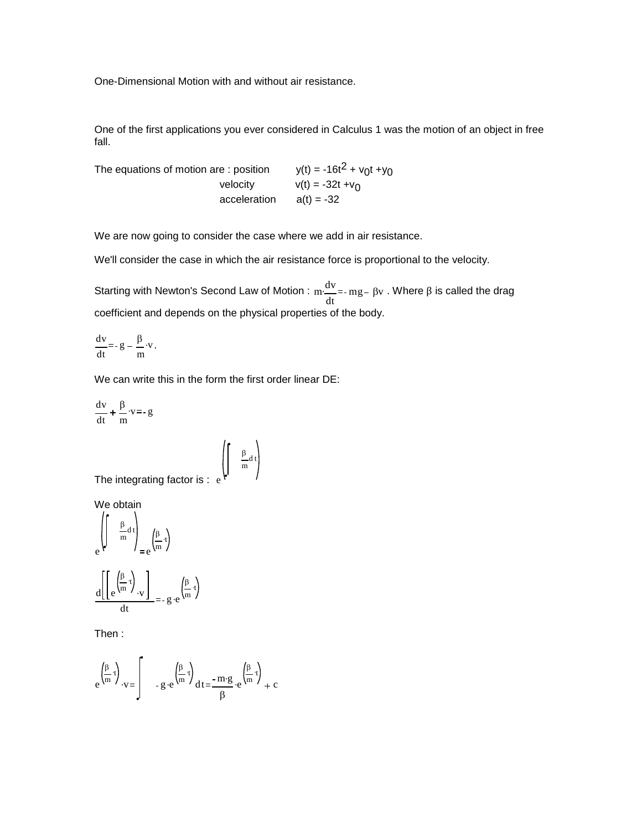One-Dimensional Motion with and without air resistance.

One of the first applications you ever considered in Calculus 1 was the motion of an object in free fall.

The equations of motion are : position  $y(t) = -16t^2 + v_0t + y_0$ velocity  $v(t) = -32t +v_0$  $acceleration$   $a(t) = -32$ 

We are now going to consider the case where we add in air resistance.

We'll consider the case in which the air resistance force is proportional to the velocity.

Starting with Newton's Second Law of Motion : m dv dt  $\frac{dv}{dt}$  =- mg – βv. Where β is called the drag coefficient and depends on the physical properties of the body.

$$
\frac{\mathrm{d}v}{\mathrm{d}t} = -g - \frac{\beta}{m} \cdot v.
$$

We can write this in the form the first order linear DE:

 $\frac{\beta}{\alpha}$ d t  $\frac{P}{m}$ d

$$
\frac{dv}{dt} + \frac{\beta}{m} \cdot v = -g
$$

The integrating factor is: e

We obtain

$$
e^{\left(\int_{0}^{\pi} \frac{\beta}{m} d t\right)} = e^{\left(\frac{\beta}{m} \cdot t\right)}
$$

$$
\frac{d\left(\left[e^{\left(\frac{\beta}{m} \cdot t\right)} \cdot v\right)\right)}{dt} = -g \cdot e^{\left(\frac{\beta}{m} \cdot t\right)}
$$

Then :

$$
e^{\left(\frac{\beta}{m}t\right)} \cdot v = \int_{-\infty}^{\infty} e^{\left(\frac{\beta}{m}t\right)} dt = \frac{-m \cdot g}{\beta} \cdot e^{\left(\frac{\beta}{m}t\right)} + c
$$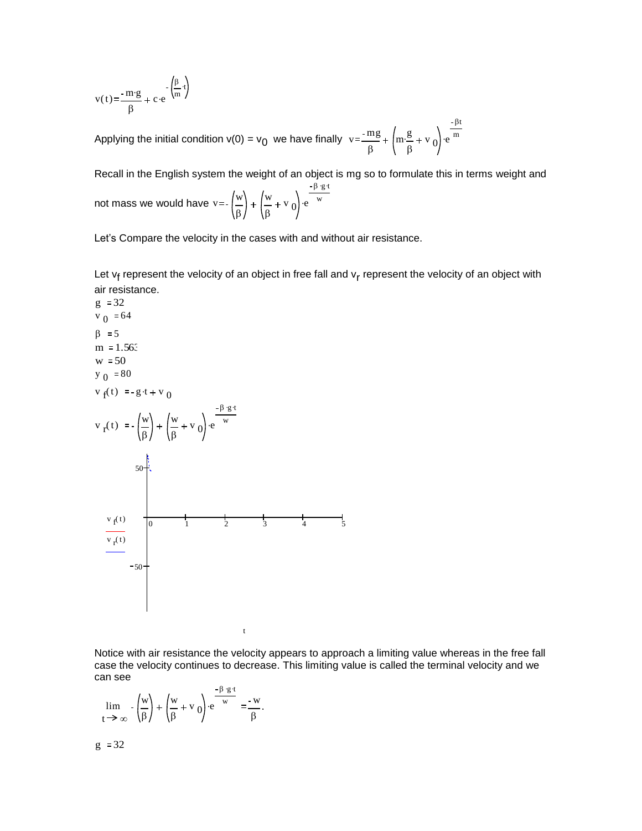$$
v(t) = \frac{-m \cdot g}{\beta} + c \cdot e^{-\left(\frac{\beta}{m} \cdot t\right)}
$$

Applying the initial condition v(0) =  $v_0$  we have finally  $v = \frac{mg}{c}$ β m g β  $\cdot \frac{g}{\circ} + v_0$  e βt  $\cdot$ em

Recall in the English system the weight of an object is mg so to formulate this in terms weight and not mass we would have  $v$ =- $\left(\frac{w}{w}\right)$ β w β  $v_0$  e  $\overline{\beta}$  ·g ·t  $\cdot e^{-w}$ 

Let's Compare the velocity in the cases with and without air resistance.

Let v<sub>f</sub> represent the velocity of an object in free fall and v<sub>r</sub> represent the velocity of an object with air resistance.



t

Notice with air resistance the velocity appears to approach a limiting value whereas in the free fall case the velocity continues to decrease. This limiting value is called the terminal velocity and we can see

$$
\lim_{t \to \infty} -\left(\frac{w}{\beta}\right) + \left(\frac{w}{\beta} + v_0\right) e^{-\frac{\beta \cdot g \cdot t}{w}} = \frac{-w}{\beta}.
$$

$$
g := 32
$$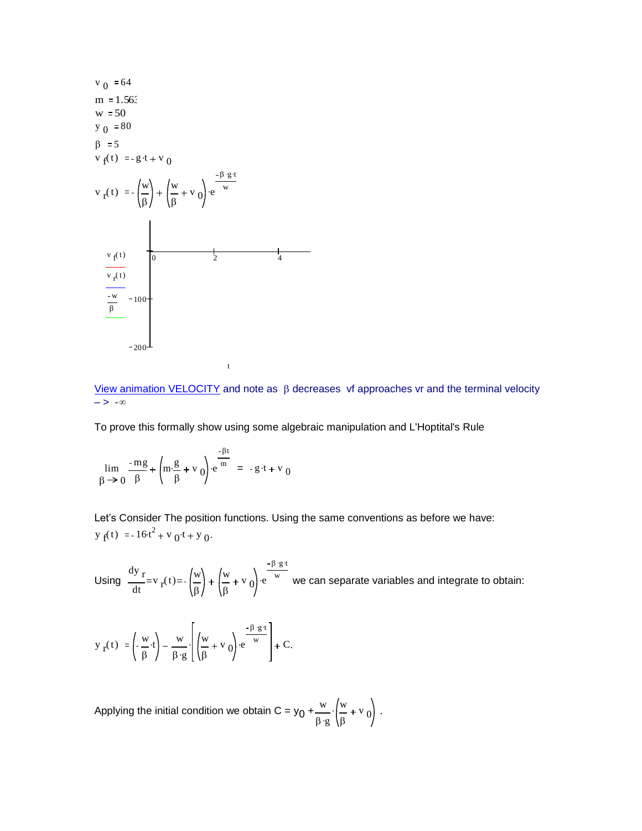

[View animation VELOCITY](http://www.calculus7.com/sitebuildercontent/sitebuilderfiles/velocity2.avi) and note as  $\beta$  decreases vf approaches vr and the terminal velocity  $-> -\infty$ 

To prove this formally show using some algebraic manipulation and L'Hoptital's Rule

$$
\lim_{\beta \to 0} \frac{-mg}{\beta} + \left(m \cdot \frac{g}{\beta} + v_0\right) e^{-\frac{\beta t}{m}} = -g \cdot t + v_0
$$

Let's Consider The position functions. Using the same conventions as before we have:  $y_f(t) = -16t^2 + v_0t + y_0$ .

Using  $\frac{dy}{dx}$ dt  $v_r(t) = -\left(\frac{w}{a}\right)$ β w β  $v_0$  e  $\beta$  ·g ·t  $ve^{\text{w}}$  we can separate variables and integrate to obtain:

$$
y_{r}(t) := \left(-\frac{w}{\beta} \cdot t\right) - \frac{w}{\beta \cdot g} \cdot \left[\left(\frac{w}{\beta} + v_{0}\right) \cdot e^{\frac{-\beta \cdot g \cdot t}{w}}\right] + C.
$$

Applying the initial condition we obtain C =  $y_0 + \frac{w}{\alpha}$  $\beta \cdot g$ w β  $\cdot \left( \frac{w}{0} + v_0 \right)$ .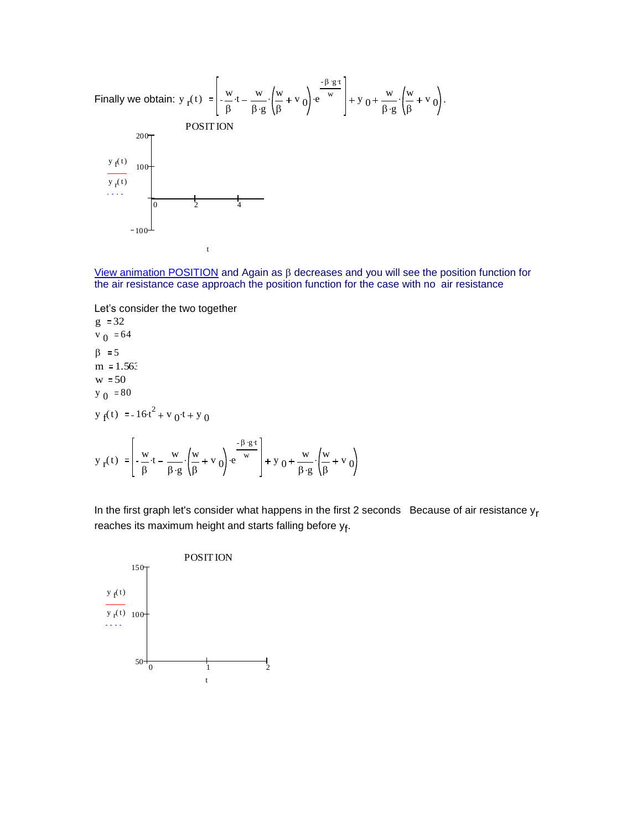

[View animation POSITION](http://www.calculus7.com/sitebuildercontent/sitebuilderfiles/position1.avi) and Again as  $\beta$  decreases and you will see the position function for the air resistance case approach the position function for the case with no air resistance

Let's consider the two together  $g := 32$ 

β

 $v_0$  = 64  $\beta := 5$  $m = 1.563$  $w = 50$  $y_0 = 80$  $y_f(t) = -16t^2 + v_0t + y_0$  $y_r(t) = -\frac{w}{a}$  $\cdot t - \frac{w}{w}$  $\overline{\beta \cdot g}$ w  $\cdot \left(\frac{w}{a} + v_0\right)$  e  $\beta$  ·g ·t  $\cdot e^{-w}$  + y 0 w  $\overline{\beta \cdot g}$ w  $\cdot \left( \frac{w}{\rho} + v_0 \right)$ 

β

In the first graph let's consider what happens in the first 2 seconds Because of air resistance  $y_r$ reaches its maximum height and starts falling before y<sub>f</sub>.

β

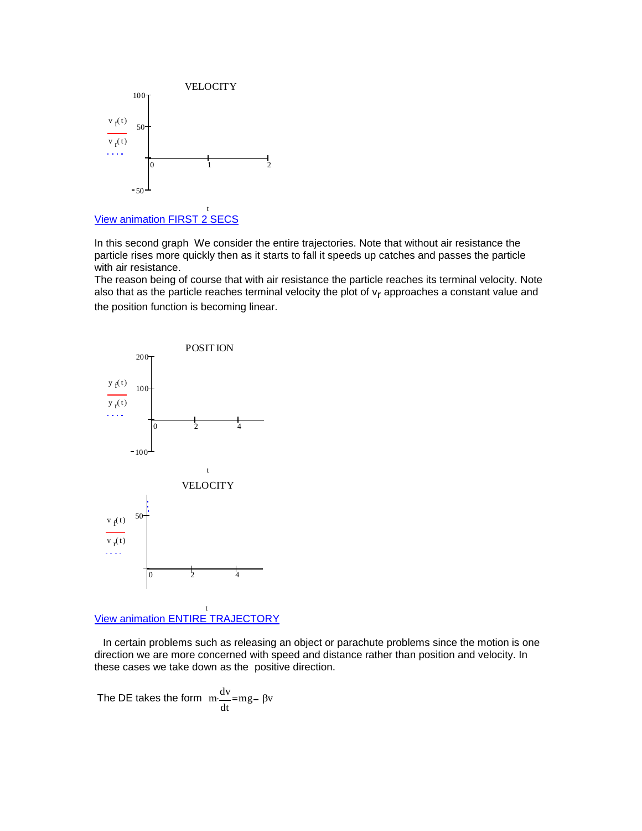

[View animation FIRST 2 SECS](http://www.calculus7.com/sitebuildercontent/sitebuilderfiles/pos2sec.avi)

In this second graph We consider the entire trajectories. Note that without air resistance the particle rises more quickly then as it starts to fall it speeds up catches and passes the particle with air resistance.

The reason being of course that with air resistance the particle reaches its terminal velocity. Note also that as the particle reaches terminal velocity the plot of v<sub>r</sub> approaches a constant value and the position function is becoming linear.



[View animation ENTIRE TRAJECTORY](http://www.calculus7.com/sitebuildercontent/sitebuilderfiles/position5sec.avi)

 In certain problems such as releasing an object or parachute problems since the motion is one direction we are more concerned with speed and distance rather than position and velocity. In these cases we take down as the positive direction.

The DE takes the form  $\frac{dv}{dt}$ dt  $\frac{dv}{dt}$ =mg –  $\beta v$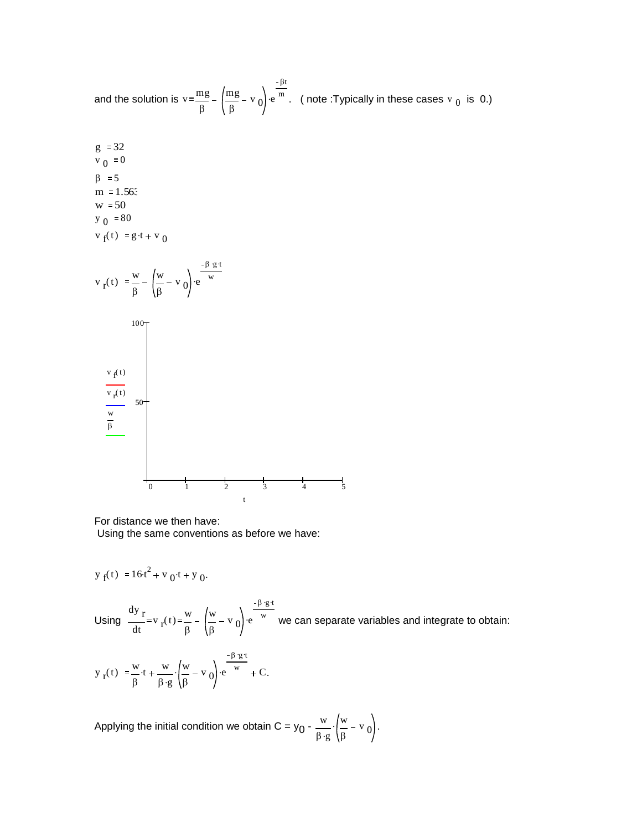and the solution is 
$$
v = \frac{mg}{\beta} - \left(\frac{mg}{\beta} - v_0\right) e^{-\frac{\beta t}{m}}
$$
. (note:Typically in these cases v<sub>0</sub> is 0.)

 $g := 32$  $v_0 = 0$  $\beta := 5$  $m = 1.563$  $w = 50$  $y_0 = 80$  $v_f(t) := g(t + v_0)$ 



For distance we then have:

Using the same conventions as before we have:

$$
y_f(t) := 16 \cdot t^2 + v_0 \cdot t + y_0.
$$

Using  $\frac{dy}{dx}$ dt  $v_r(t) = \frac{w}{0}$ β w β  $v_0$  e  $\beta$  ·g ·t  $ve^{\text{w}}$  we can separate variables and integrate to obtain:

$$
y_{r}(t) := \frac{w}{\beta} \cdot t + \frac{w}{\beta \cdot g} \cdot \left(\frac{w}{\beta} - v_{0}\right) \cdot e^{-\frac{\beta \cdot g \cdot t}{w}} + C.
$$

Applying the initial condition we obtain C = y<sub>0</sub> -  $\frac{w}{a}$  $\overline{\beta \cdot g}$ w β  $\cdot \left( \frac{w}{\rho} - v_0 \right)$ .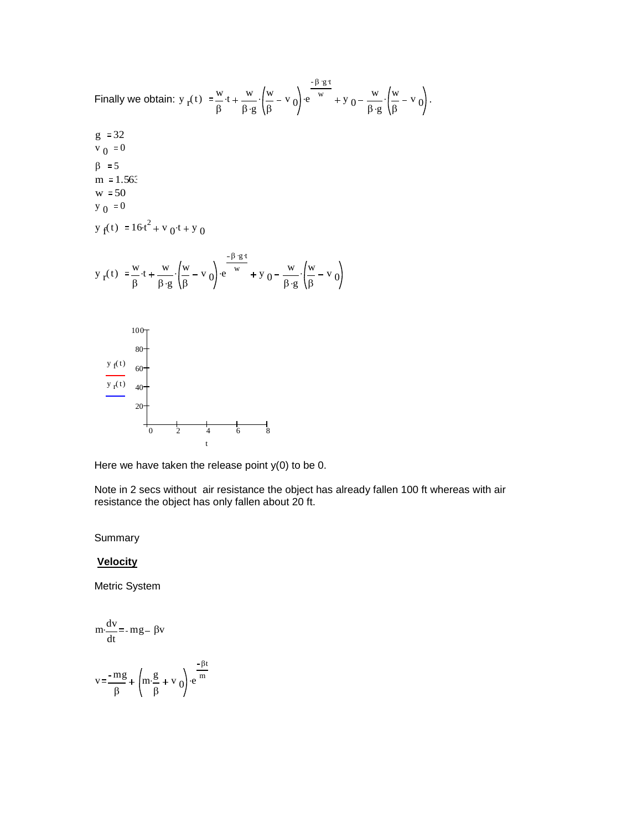Finally we obtain: 
$$
y_r(t) := \frac{w}{\beta}t + \frac{w}{\beta \cdot g} \cdot (\frac{w}{\beta} - v_0) e^{-\frac{\beta \cdot g t}{w}} + y_0 - \frac{w}{\beta \cdot g} \cdot (\frac{w}{\beta} - v_0)
$$
.  
\n $g := 32$   
\n $v_0 := 0$   
\n $\beta := 5$   
\n $m := 1.56$ :  
\n $w := 50$   
\n $y_0 := 0$   
\n $y_f(t) := \frac{w}{\beta}t + \frac{w}{\beta \cdot g} \cdot (\frac{w}{\beta} - v_0) e^{-\frac{\beta \cdot g t}{w}} + y_0 - \frac{w}{\beta \cdot g} \cdot (\frac{w}{\beta} - v_0)$   
\n $y_r(t) := \frac{100}{\beta}$   
\n $\frac{y_f(t)}{s}$ 

Here we have taken the release point  $y(0)$  to be 0.

0 2 4 6 8

t

Note in 2 secs without air resistance the object has already fallen 100 ft whereas with air resistance the object has only fallen about 20 ft.

Summary

## **Velocity**

Metric System

$$
m \cdot \frac{dv}{dt} = -mg - \beta v
$$
  

$$
v = \frac{-mg}{\beta} + \left(m \cdot \frac{g}{\beta} + v_0\right) \cdot e^{-\frac{\beta t}{m}}
$$